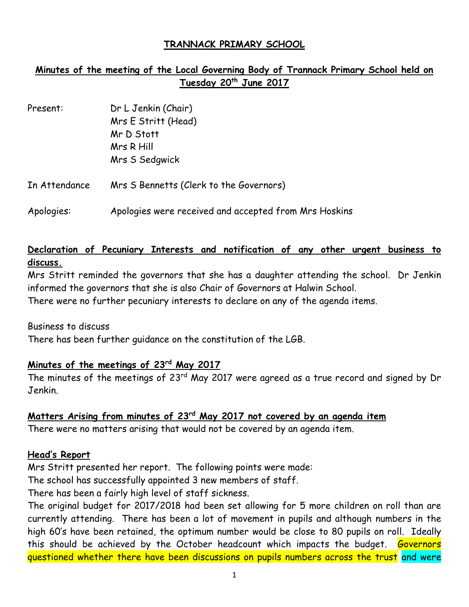### **TRANNACK PRIMARY SCHOOL**

# **Minutes of the meeting of the Local Governing Body of Trannack Primary School held on Tuesday 20 th June 2017**

| Present:      | Dr L Jenkin (Chair)<br>Mrs E Stritt (Head)<br>Mr D Stott<br>Mrs R Hill |  |
|---------------|------------------------------------------------------------------------|--|
|               | Mrs S Sedgwick                                                         |  |
| In Attendance | Mrs S Bennetts (Clerk to the Governors)                                |  |
| Apologies:    | Apologies were received and accepted from Mrs Hoskins                  |  |

## **Declaration of Pecuniary Interests and notification of any other urgent business to discuss.**

Mrs Stritt reminded the governors that she has a daughter attending the school. Dr Jenkin informed the governors that she is also Chair of Governors at Halwin School.

There were no further pecuniary interests to declare on any of the agenda items.

Business to discuss

There has been further guidance on the constitution of the LGB.

## **Minutes of the meetings of 23rd May 2017**

The minutes of the meetings of 23<sup>rd</sup> May 2017 were agreed as a true record and signed by Dr Jenkin.

## **Matters Arising from minutes of 23 rd May 2017 not covered by an agenda item**

There were no matters arising that would not be covered by an agenda item.

#### **Head's Report**

Mrs Stritt presented her report. The following points were made:

The school has successfully appointed 3 new members of staff.

There has been a fairly high level of staff sickness.

The original budget for 2017/2018 had been set allowing for 5 more children on roll than are currently attending. There has been a lot of movement in pupils and although numbers in the high 60's have been retained, the optimum number would be close to 80 pupils on roll. Ideally this should be achieved by the October headcount which impacts the budget. Governors questioned whether there have been discussions on pupils numbers across the trust and were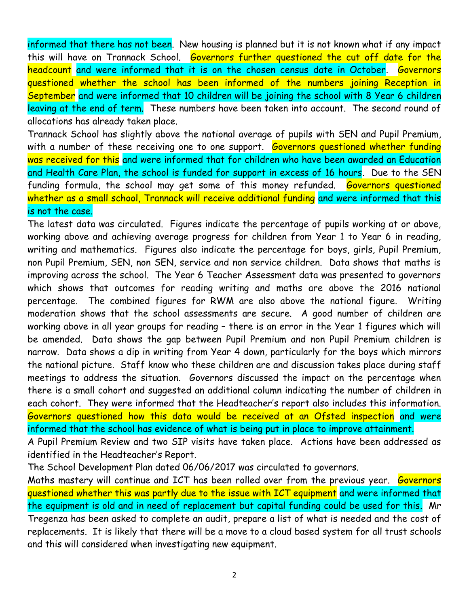informed that there has not been. New housing is planned but it is not known what if any impact this will have on Trannack School. Governors further questioned the cut off date for the headcount and were informed that it is on the chosen census date in October. Governors questioned whether the school has been informed of the numbers joining Reception in September and were informed that 10 children will be joining the school with 8 Year 6 children leaving at the end of term. These numbers have been taken into account. The second round of allocations has already taken place.

Trannack School has slightly above the national average of pupils with SEN and Pupil Premium, with a number of these receiving one to one support. Governors questioned whether funding was received for this and were informed that for children who have been awarded an Education and Health Care Plan, the school is funded for support in excess of 16 hours. Due to the SEN funding formula, the school may get some of this money refunded. Governors questioned whether as a small school, Trannack will receive additional funding and were informed that this is not the case.

The latest data was circulated. Figures indicate the percentage of pupils working at or above, working above and achieving average progress for children from Year 1 to Year 6 in reading, writing and mathematics. Figures also indicate the percentage for boys, girls, Pupil Premium, non Pupil Premium, SEN, non SEN, service and non service children. Data shows that maths is improving across the school. The Year 6 Teacher Assessment data was presented to governors which shows that outcomes for reading writing and maths are above the 2016 national percentage. The combined figures for RWM are also above the national figure. Writing moderation shows that the school assessments are secure. A good number of children are working above in all year groups for reading – there is an error in the Year 1 figures which will be amended. Data shows the gap between Pupil Premium and non Pupil Premium children is narrow. Data shows a dip in writing from Year 4 down, particularly for the boys which mirrors the national picture. Staff know who these children are and discussion takes place during staff meetings to address the situation. Governors discussed the impact on the percentage when there is a small cohort and suggested an additional column indicating the number of children in each cohort. They were informed that the Headteacher's report also includes this information. Governors questioned how this data would be received at an Ofsted inspection and were informed that the school has evidence of what is being put in place to improve attainment.

A Pupil Premium Review and two SIP visits have taken place. Actions have been addressed as identified in the Headteacher's Report.

The School Development Plan dated 06/06/2017 was circulated to governors.

Maths mastery will continue and ICT has been rolled over from the previous year. Governors questioned whether this was partly due to the issue with ICT equipment and were informed that the equipment is old and in need of replacement but capital funding could be used for this. Mr Tregenza has been asked to complete an audit, prepare a list of what is needed and the cost of replacements. It is likely that there will be a move to a cloud based system for all trust schools and this will considered when investigating new equipment.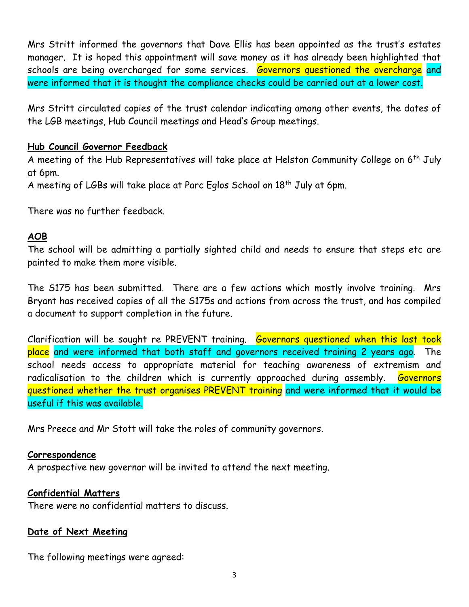Mrs Stritt informed the governors that Dave Ellis has been appointed as the trust's estates manager. It is hoped this appointment will save money as it has already been highlighted that schools are being overcharged for some services. Governors questioned the overcharge and were informed that it is thought the compliance checks could be carried out at a lower cost.

Mrs Stritt circulated copies of the trust calendar indicating among other events, the dates of the LGB meetings, Hub Council meetings and Head's Group meetings.

### **Hub Council Governor Feedback**

A meeting of the Hub Representatives will take place at Helston Community College on 6<sup>th</sup> July at 6pm.

A meeting of LGBs will take place at Parc Eglos School on 18<sup>th</sup> July at 6pm.

There was no further feedback.

### **AOB**

The school will be admitting a partially sighted child and needs to ensure that steps etc are painted to make them more visible.

The S175 has been submitted. There are a few actions which mostly involve training. Mrs Bryant has received copies of all the S175s and actions from across the trust, and has compiled a document to support completion in the future.

Clarification will be sought re PREVENT training. Governors questioned when this last took place and were informed that both staff and governors received training 2 years ago. The school needs access to appropriate material for teaching awareness of extremism and radicalisation to the children which is currently approached during assembly. Governors questioned whether the trust organises PREVENT training and were informed that it would be useful if this was available.

Mrs Preece and Mr Stott will take the roles of community governors.

#### **Correspondence**

A prospective new governor will be invited to attend the next meeting.

## **Confidential Matters**

There were no confidential matters to discuss.

## **Date of Next Meeting**

The following meetings were agreed: